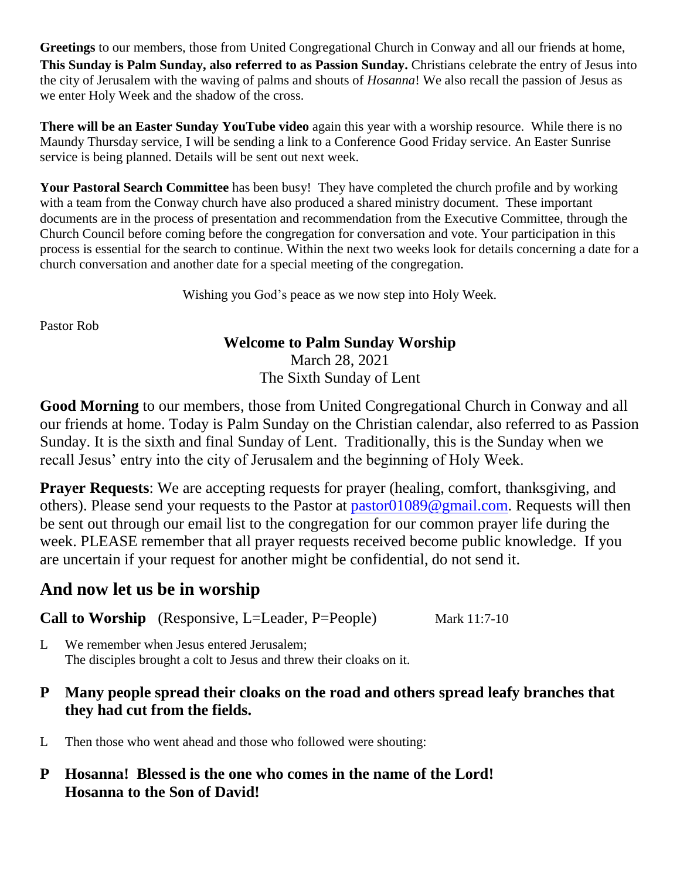**Greetings** to our members, those from United Congregational Church in Conway and all our friends at home, **This Sunday is Palm Sunday, also referred to as Passion Sunday.** Christians celebrate the entry of Jesus into the city of Jerusalem with the waving of palms and shouts of *Hosanna*! We also recall the passion of Jesus as we enter Holy Week and the shadow of the cross.

**There will be an Easter Sunday YouTube video** again this year with a worship resource. While there is no Maundy Thursday service, I will be sending a link to a Conference Good Friday service. An Easter Sunrise service is being planned. Details will be sent out next week.

**Your Pastoral Search Committee** has been busy! They have completed the church profile and by working with a team from the Conway church have also produced a shared ministry document. These important documents are in the process of presentation and recommendation from the Executive Committee, through the Church Council before coming before the congregation for conversation and vote. Your participation in this process is essential for the search to continue. Within the next two weeks look for details concerning a date for a church conversation and another date for a special meeting of the congregation.

Wishing you God's peace as we now step into Holy Week.

Pastor Rob

#### **Welcome to Palm Sunday Worship**

March 28, 2021 The Sixth Sunday of Lent

**Good Morning** to our members, those from United Congregational Church in Conway and all our friends at home. Today is Palm Sunday on the Christian calendar, also referred to as Passion Sunday. It is the sixth and final Sunday of Lent. Traditionally, this is the Sunday when we recall Jesus' entry into the city of Jerusalem and the beginning of Holy Week.

**Prayer Requests:** We are accepting requests for prayer (healing, comfort, thanksgiving, and others). Please send your requests to the Pastor at [pastor01089@gmail.com.](mailto:pastor01089@gmail.com) Requests will then be sent out through our email list to the congregation for our common prayer life during the week. PLEASE remember that all prayer requests received become public knowledge. If you are uncertain if your request for another might be confidential, do not send it.

# **And now let us be in worship**

**Call to Worship** (Responsive, L=Leader, P=People) Mark 11:7-10

- L We remember when Jesus entered Jerusalem; The disciples brought a colt to Jesus and threw their cloaks on it.
- **P Many people spread their cloaks on the road and others spread leafy branches that they had cut from the fields.**
- L Then those who went ahead and those who followed were shouting:
- **P Hosanna! Blessed is the one who comes in the name of the Lord! Hosanna to the Son of David!**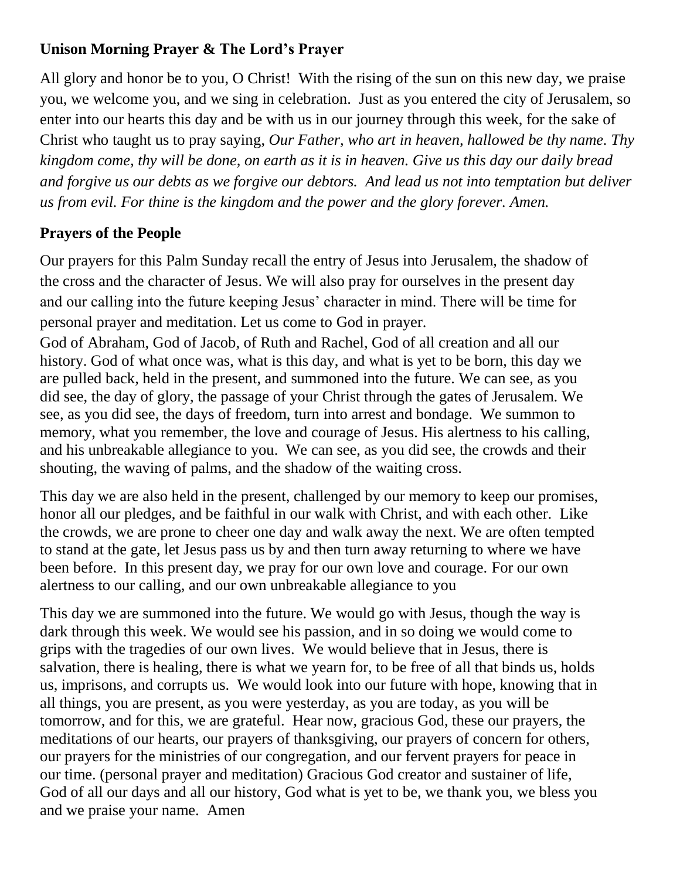## **Unison Morning Prayer & The Lord's Prayer**

All glory and honor be to you, O Christ! With the rising of the sun on this new day, we praise you, we welcome you, and we sing in celebration. Just as you entered the city of Jerusalem, so enter into our hearts this day and be with us in our journey through this week, for the sake of Christ who taught us to pray saying, *Our Father, who art in heaven, hallowed be thy name. Thy kingdom come, thy will be done, on earth as it is in heaven. Give us this day our daily bread and forgive us our debts as we forgive our debtors. And lead us not into temptation but deliver us from evil. For thine is the kingdom and the power and the glory forever. Amen.*

## **Prayers of the People**

Our prayers for this Palm Sunday recall the entry of Jesus into Jerusalem, the shadow of the cross and the character of Jesus. We will also pray for ourselves in the present day and our calling into the future keeping Jesus' character in mind. There will be time for personal prayer and meditation. Let us come to God in prayer.

God of Abraham, God of Jacob, of Ruth and Rachel, God of all creation and all our history. God of what once was, what is this day, and what is yet to be born, this day we are pulled back, held in the present, and summoned into the future. We can see, as you did see, the day of glory, the passage of your Christ through the gates of Jerusalem. We see, as you did see, the days of freedom, turn into arrest and bondage. We summon to memory, what you remember, the love and courage of Jesus. His alertness to his calling, and his unbreakable allegiance to you. We can see, as you did see, the crowds and their shouting, the waving of palms, and the shadow of the waiting cross.

This day we are also held in the present, challenged by our memory to keep our promises, honor all our pledges, and be faithful in our walk with Christ, and with each other. Like the crowds, we are prone to cheer one day and walk away the next. We are often tempted to stand at the gate, let Jesus pass us by and then turn away returning to where we have been before. In this present day, we pray for our own love and courage. For our own alertness to our calling, and our own unbreakable allegiance to you

This day we are summoned into the future. We would go with Jesus, though the way is dark through this week. We would see his passion, and in so doing we would come to grips with the tragedies of our own lives. We would believe that in Jesus, there is salvation, there is healing, there is what we yearn for, to be free of all that binds us, holds us, imprisons, and corrupts us. We would look into our future with hope, knowing that in all things, you are present, as you were yesterday, as you are today, as you will be tomorrow, and for this, we are grateful. Hear now, gracious God, these our prayers, the meditations of our hearts, our prayers of thanksgiving, our prayers of concern for others, our prayers for the ministries of our congregation, and our fervent prayers for peace in our time. (personal prayer and meditation) Gracious God creator and sustainer of life, God of all our days and all our history, God what is yet to be, we thank you, we bless you and we praise your name. Amen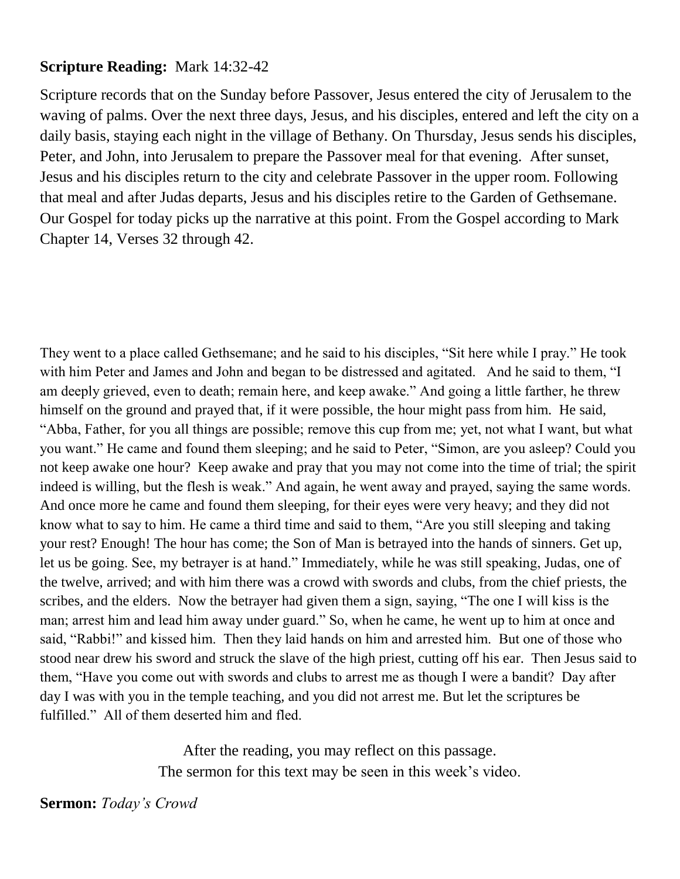### **Scripture Reading:** Mark 14:32-42

Scripture records that on the Sunday before Passover, Jesus entered the city of Jerusalem to the waving of palms. Over the next three days, Jesus, and his disciples, entered and left the city on a daily basis, staying each night in the village of Bethany. On Thursday, Jesus sends his disciples, Peter, and John, into Jerusalem to prepare the Passover meal for that evening. After sunset, Jesus and his disciples return to the city and celebrate Passover in the upper room. Following that meal and after Judas departs, Jesus and his disciples retire to the Garden of Gethsemane. Our Gospel for today picks up the narrative at this point. From the Gospel according to Mark Chapter 14, Verses 32 through 42.

They went to a place called Gethsemane; and he said to his disciples, "Sit here while I pray." He took with him Peter and James and John and began to be distressed and agitated. And he said to them, "I am deeply grieved, even to death; remain here, and keep awake." And going a little farther, he threw himself on the ground and prayed that, if it were possible, the hour might pass from him. He said, "Abba, Father, for you all things are possible; remove this cup from me; yet, not what I want, but what you want." He came and found them sleeping; and he said to Peter, "Simon, are you asleep? Could you not keep awake one hour? Keep awake and pray that you may not come into the time of trial; the spirit indeed is willing, but the flesh is weak." And again, he went away and prayed, saying the same words. And once more he came and found them sleeping, for their eyes were very heavy; and they did not know what to say to him. He came a third time and said to them, "Are you still sleeping and taking your rest? Enough! The hour has come; the Son of Man is betrayed into the hands of sinners. Get up, let us be going. See, my betrayer is at hand." Immediately, while he was still speaking, Judas, one of the twelve, arrived; and with him there was a crowd with swords and clubs, from the chief priests, the scribes, and the elders. Now the betrayer had given them a sign, saying, "The one I will kiss is the man; arrest him and lead him away under guard." So, when he came, he went up to him at once and said, "Rabbi!" and kissed him. Then they laid hands on him and arrested him. But one of those who stood near drew his sword and struck the slave of the high priest, cutting off his ear. Then Jesus said to them, "Have you come out with swords and clubs to arrest me as though I were a bandit? Day after day I was with you in the temple teaching, and you did not arrest me. But let the scriptures be fulfilled." All of them deserted him and fled.

> After the reading, you may reflect on this passage. The sermon for this text may be seen in this week's video.

#### **Sermon:** *Today's Crowd*